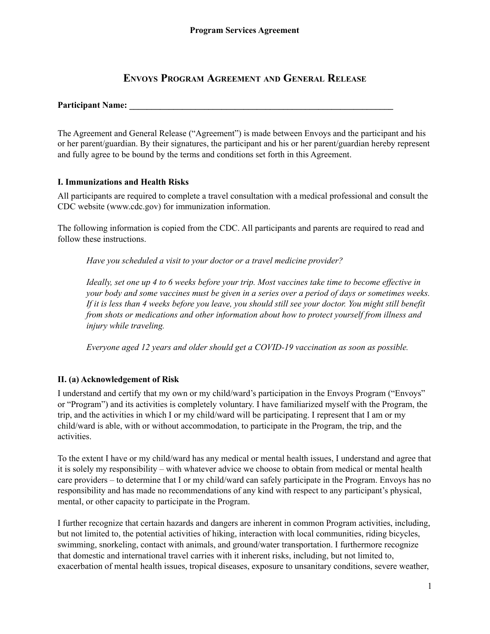# **ENVOYS PROGRAM AGREEMENT AND GENERAL RELEASE**

#### **Participant Name: \_\_\_\_\_\_\_\_\_\_\_\_\_\_\_\_\_\_\_\_\_\_\_\_\_\_\_\_\_\_\_\_\_\_\_\_\_\_\_\_\_\_\_\_\_\_\_\_\_\_\_\_\_\_\_\_\_\_\_\_**

The Agreement and General Release ("Agreement") is made between Envoys and the participant and his or her parent/guardian. By their signatures, the participant and his or her parent/guardian hereby represent and fully agree to be bound by the terms and conditions set forth in this Agreement.

#### **I. Immunizations and Health Risks**

All participants are required to complete a travel consultation with a medical professional and consult the CDC website (www.cdc.gov) for immunization information.

The following information is copied from the CDC. All participants and parents are required to read and follow these instructions.

*Have you scheduled a visit to your doctor or a travel medicine provider?*

Ideally, set one up 4 to 6 weeks before your trip. Most vaccines take time to become effective in your body and some vaccines must be given in a series over a period of days or sometimes weeks. If it is less than 4 weeks before you leave, you should still see your doctor. You might still benefit *from shots or medications and other information about how to protect yourself from illness and injury while traveling.*

*Everyone aged 12 years and older should get a COVID-19 vaccination as soon as possible.*

# **II. (a) Acknowledgement of Risk**

I understand and certify that my own or my child/ward's participation in the Envoys Program ("Envoys" or "Program") and its activities is completely voluntary. I have familiarized myself with the Program, the trip, and the activities in which I or my child/ward will be participating. I represent that I am or my child/ward is able, with or without accommodation, to participate in the Program, the trip, and the activities.

To the extent I have or my child/ward has any medical or mental health issues, I understand and agree that it is solely my responsibility – with whatever advice we choose to obtain from medical or mental health care providers – to determine that I or my child/ward can safely participate in the Program. Envoys has no responsibility and has made no recommendations of any kind with respect to any participant's physical, mental, or other capacity to participate in the Program.

I further recognize that certain hazards and dangers are inherent in common Program activities, including, but not limited to, the potential activities of hiking, interaction with local communities, riding bicycles, swimming, snorkeling, contact with animals, and ground/water transportation. I furthermore recognize that domestic and international travel carries with it inherent risks, including, but not limited to, exacerbation of mental health issues, tropical diseases, exposure to unsanitary conditions, severe weather,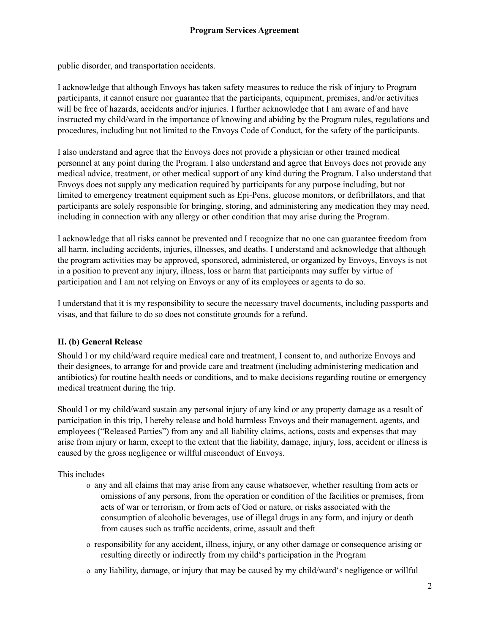public disorder, and transportation accidents.

I acknowledge that although Envoys has taken safety measures to reduce the risk of injury to Program participants, it cannot ensure nor guarantee that the participants, equipment, premises, and/or activities will be free of hazards, accidents and/or injuries. I further acknowledge that I am aware of and have instructed my child/ward in the importance of knowing and abiding by the Program rules, regulations and procedures, including but not limited to the Envoys Code of Conduct, for the safety of the participants.

I also understand and agree that the Envoys does not provide a physician or other trained medical personnel at any point during the Program. I also understand and agree that Envoys does not provide any medical advice, treatment, or other medical support of any kind during the Program. I also understand that Envoys does not supply any medication required by participants for any purpose including, but not limited to emergency treatment equipment such as Epi-Pens, glucose monitors, or defibrillators, and that participants are solely responsible for bringing, storing, and administering any medication they may need, including in connection with any allergy or other condition that may arise during the Program.

I acknowledge that all risks cannot be prevented and I recognize that no one can guarantee freedom from all harm, including accidents, injuries, illnesses, and deaths. I understand and acknowledge that although the program activities may be approved, sponsored, administered, or organized by Envoys, Envoys is not in a position to prevent any injury, illness, loss or harm that participants may suffer by virtue of participation and I am not relying on Envoys or any of its employees or agents to do so.

I understand that it is my responsibility to secure the necessary travel documents, including passports and visas, and that failure to do so does not constitute grounds for a refund.

# **II. (b) General Release**

Should I or my child/ward require medical care and treatment, I consent to, and authorize Envoys and their designees, to arrange for and provide care and treatment (including administering medication and antibiotics) for routine health needs or conditions, and to make decisions regarding routine or emergency medical treatment during the trip.

Should I or my child/ward sustain any personal injury of any kind or any property damage as a result of participation in this trip, I hereby release and hold harmless Envoys and their management, agents, and employees ("Released Parties") from any and all liability claims, actions, costs and expenses that may arise from injury or harm, except to the extent that the liability, damage, injury, loss, accident or illness is caused by the gross negligence or willful misconduct of Envoys.

# This includes

- o any and all claims that may arise from any cause whatsoever, whether resulting from acts or omissions of any persons, from the operation or condition of the facilities or premises, from acts of war or terrorism, or from acts of God or nature, or risks associated with the consumption of alcoholic beverages, use of illegal drugs in any form, and injury or death from causes such as traffic accidents, crime, assault and theft
- o responsibility for any accident, illness, injury, or any other damage or consequence arising or resulting directly or indirectly from my child's participation in the Program
- o any liability, damage, or injury that may be caused by my child/ward's negligence or willful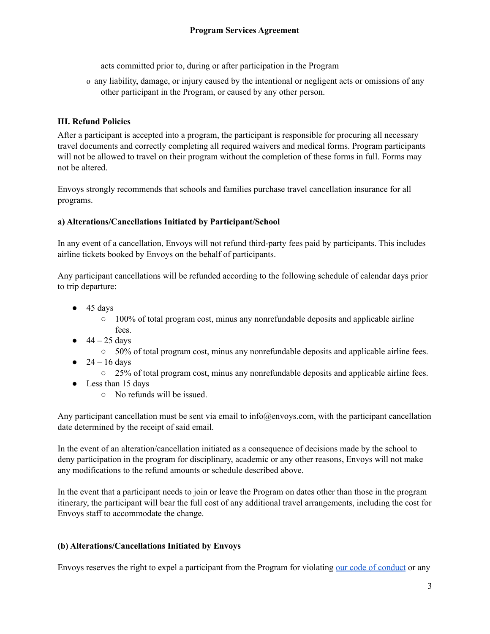acts committed prior to, during or after participation in the Program

o any liability, damage, or injury caused by the intentional or negligent acts or omissions of any other participant in the Program, or caused by any other person.

# **III. Refund Policies**

After a participant is accepted into a program, the participant is responsible for procuring all necessary travel documents and correctly completing all required waivers and medical forms. Program participants will not be allowed to travel on their program without the completion of these forms in full. Forms may not be altered.

Envoys strongly recommends that schools and families purchase travel cancellation insurance for all programs.

# **a) Alterations/Cancellations Initiated by Participant/School**

In any event of a cancellation, Envoys will not refund third-party fees paid by participants. This includes airline tickets booked by Envoys on the behalf of participants.

Any participant cancellations will be refunded according to the following schedule of calendar days prior to trip departure:

- $\bullet$  45 days
	- $\circ$  100% of total program cost, minus any nonrefundable deposits and applicable airline
- fees.  $\bullet$  44 – 25 days
	- 50% of total program cost, minus any nonrefundable deposits and applicable airline fees.
- $24 16$  days
	- 25% of total program cost, minus any nonrefundable deposits and applicable airline fees.
- Less than 15 days
	- No refunds will be issued.

Any participant cancellation must be sent via email to info@envoys.com, with the participant cancellation date determined by the receipt of said email.

In the event of an alteration/cancellation initiated as a consequence of decisions made by the school to deny participation in the program for disciplinary, academic or any other reasons, Envoys will not make any modifications to the refund amounts or schedule described above.

In the event that a participant needs to join or leave the Program on dates other than those in the program itinerary, the participant will bear the full cost of any additional travel arrangements, including the cost for Envoys staff to accommodate the change.

# **(b) Alterations/Cancellations Initiated by Envoys**

Envoys reserves the right to expel a participant from the Program for violating our code of [conduct](https://portal.envoys.com/code-of-conduct/) or any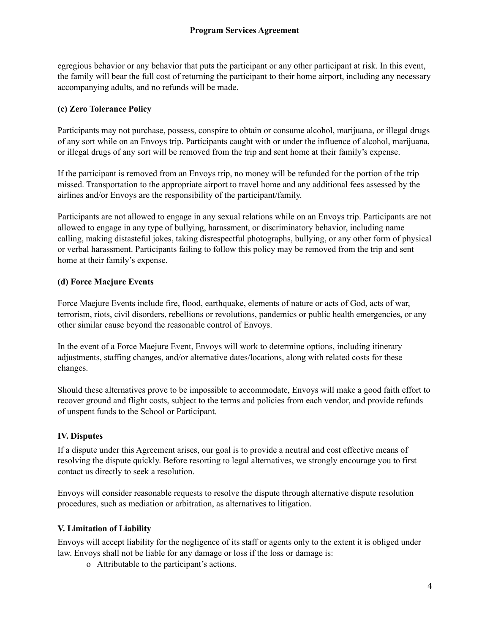egregious behavior or any behavior that puts the participant or any other participant at risk. In this event, the family will bear the full cost of returning the participant to their home airport, including any necessary accompanying adults, and no refunds will be made.

# **(c) Zero Tolerance Policy**

Participants may not purchase, possess, conspire to obtain or consume alcohol, marijuana, or illegal drugs of any sort while on an Envoys trip. Participants caught with or under the influence of alcohol, marijuana, or illegal drugs of any sort will be removed from the trip and sent home at their family's expense.

If the participant is removed from an Envoys trip, no money will be refunded for the portion of the trip missed. Transportation to the appropriate airport to travel home and any additional fees assessed by the airlines and/or Envoys are the responsibility of the participant/family.

Participants are not allowed to engage in any sexual relations while on an Envoys trip. Participants are not allowed to engage in any type of bullying, harassment, or discriminatory behavior, including name calling, making distasteful jokes, taking disrespectful photographs, bullying, or any other form of physical or verbal harassment. Participants failing to follow this policy may be removed from the trip and sent home at their family's expense.

# **(d) Force Maejure Events**

Force Maejure Events include fire, flood, earthquake, elements of nature or acts of God, acts of war, terrorism, riots, civil disorders, rebellions or revolutions, pandemics or public health emergencies, or any other similar cause beyond the reasonable control of Envoys.

In the event of a Force Maejure Event, Envoys will work to determine options, including itinerary adjustments, staffing changes, and/or alternative dates/locations, along with related costs for these changes.

Should these alternatives prove to be impossible to accommodate, Envoys will make a good faith effort to recover ground and flight costs, subject to the terms and policies from each vendor, and provide refunds of unspent funds to the School or Participant.

# **IV. Disputes**

If a dispute under this Agreement arises, our goal is to provide a neutral and cost effective means of resolving the dispute quickly. Before resorting to legal alternatives, we strongly encourage you to first contact us directly to seek a resolution.

Envoys will consider reasonable requests to resolve the dispute through alternative dispute resolution procedures, such as mediation or arbitration, as alternatives to litigation.

# **V. Limitation of Liability**

Envoys will accept liability for the negligence of its staff or agents only to the extent it is obliged under law. Envoys shall not be liable for any damage or loss if the loss or damage is:

o Attributable to the participant's actions.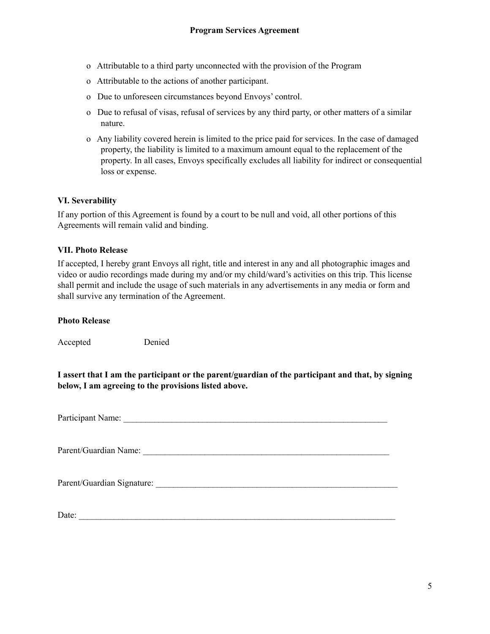- o Attributable to a third party unconnected with the provision of the Program
- o Attributable to the actions of another participant.
- o Due to unforeseen circumstances beyond Envoys' control.
- o Due to refusal of visas, refusal of services by any third party, or other matters of a similar nature.
- o Any liability covered herein is limited to the price paid for services. In the case of damaged property, the liability is limited to a maximum amount equal to the replacement of the property. In all cases, Envoys specifically excludes all liability for indirect or consequential loss or expense.

# **VI. Severability**

If any portion of this Agreement is found by a court to be null and void, all other portions of this Agreements will remain valid and binding.

#### **VII. Photo Release**

If accepted, I hereby grant Envoys all right, title and interest in any and all photographic images and video or audio recordings made during my and/or my child/ward's activities on this trip. This license shall permit and include the usage of such materials in any advertisements in any media or form and shall survive any termination of the Agreement.

#### **Photo Release**

Accepted Denied

**I assert that I am the participant or the parent/guardian of the participant and that, by signing below, I am agreeing to the provisions listed above.**

Participant Name: \_\_\_\_\_\_\_\_\_\_\_\_\_\_\_\_\_\_\_\_\_\_\_\_\_\_\_\_\_\_\_\_\_\_\_\_\_\_\_\_\_\_\_\_\_\_\_\_\_\_\_\_\_\_\_\_\_\_\_\_

Parent/Guardian Name:

Parent/Guardian Signature:  $\blacksquare$ 

Date: \_\_\_\_\_\_\_\_\_\_\_\_\_\_\_\_\_\_\_\_\_\_\_\_\_\_\_\_\_\_\_\_\_\_\_\_\_\_\_\_\_\_\_\_\_\_\_\_\_\_\_\_\_\_\_\_\_\_\_\_\_\_\_\_\_\_\_\_\_\_\_\_